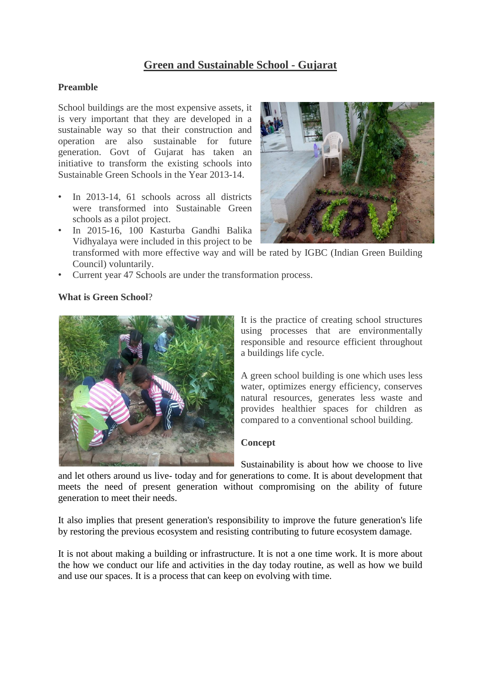# **Green and Sustainable School - Gujarat**

### **Preamble**

School buildings are the most expensive assets, it is very important that they are developed in a sustainable way so that their construction and operation are also sustainable for future generation. Govt of Gujarat has taken an initiative to transform the existing schools into Sustainable Green Schools in the Year 2013-14.

- In 2013-14, 61 schools across all districts were transformed into Sustainable Green schools as a pilot project.
- In 2015-16, 100 Kasturba Gandhi Balika Vidhyalaya were included in this project to be



transformed with more effective way and will be rated by IGBC (Indian Green Building Council) voluntarily.

• Current year 47 Schools are under the transformation process.

### **What is Green School**?



It is the practice of creating school structures using processes that are environmentally responsible and resource efficient throughout a buildings life cycle.

A green school building is one which uses less water, optimizes energy efficiency, conserves natural resources, generates less waste and provides healthier spaces for children as compared to a conventional school building.

### **Concept**

Sustainability is about how we choose to live and let others around us live- today and for generations to come. It is about development that meets the need of present generation without compromising on the ability of future generation to meet their needs.

It also implies that present generation's responsibility to improve the future generation's life by restoring the previous ecosystem and resisting contributing to future ecosystem damage.

It is not about making a building or infrastructure. It is not a one time work. It is more about the how we conduct our life and activities in the day today routine, as well as how we build and use our spaces. It is a process that can keep on evolving with time.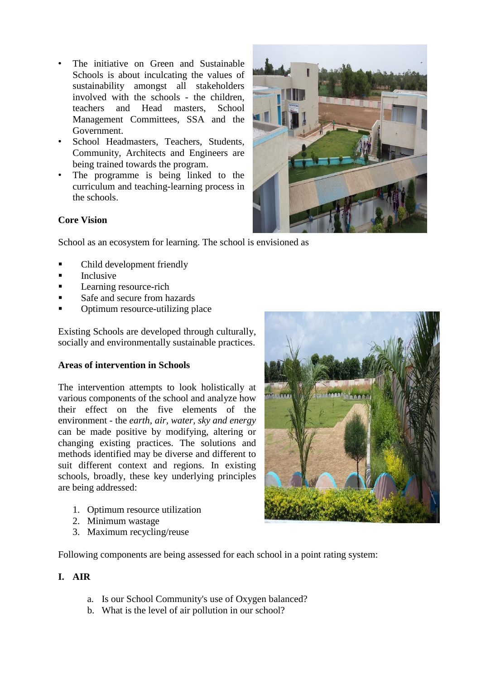- The initiative on Green and Sustainable Schools is about inculcating the values of sustainability amongst all stakeholders involved with the schools - the children, teachers and Head masters, School Management Committees, SSA and the Government.
- School Headmasters, Teachers, Students, Community, Architects and Engineers are being trained towards the program.
- The programme is being linked to the curriculum and teaching-learning process in the schools.



### **Core Vision**

School as an ecosystem for learning. The school is envisioned as

- Child development friendly
- Inclusive
- Learning resource-rich
- Safe and secure from hazards
- Optimum resource-utilizing place

Existing Schools are developed through culturally, socially and environmentally sustainable practices.

### **Areas of intervention in Schools**

The intervention attempts to look holistically at various components of the school and analyze how their effect on the five elements of the environment - the *earth, air, water, sky and energy*  can be made positive by modifying, altering or changing existing practices. The solutions and methods identified may be diverse and different to suit different context and regions. In existing schools, broadly, these key underlying principles are being addressed:

- 1. Optimum resource utilization
- 2. Minimum wastage
- 3. Maximum recycling/reuse

Following components are being assessed for each school in a point rating system:

### **I. AIR**

- a. Is our School Community's use of Oxygen balanced?
- b. What is the level of air pollution in our school?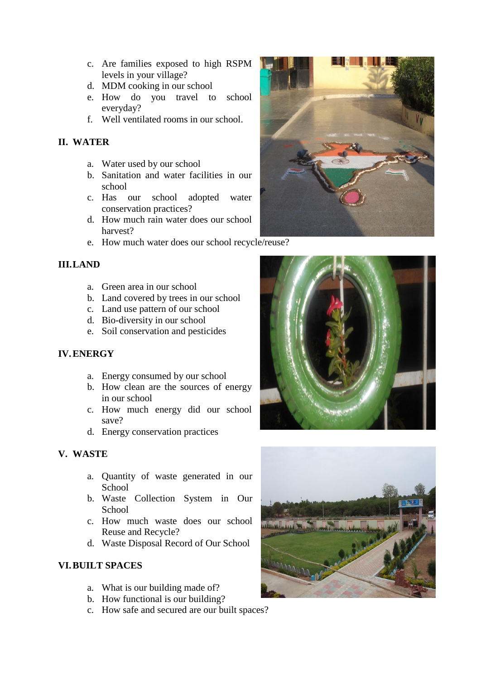- c. Are families exposed to high RSPM levels in your village?
- d. MDM cooking in our school
- e. How do you travel to school everyday?
- f. Well ventilated rooms in our school.

# **II. WATER**

- a. Water used by our school
- b. Sanitation and water facilities in our school
- c. Has our school adopted water conservation practices?
- d. How much rain water does our school harvest?
- e. How much water does our school recycle/reuse?

# **III.LAND**

- a. Green area in our school
- b. Land covered by trees in our school
- c. Land use pattern of our school
- d. Bio-diversity in our school
- e. Soil conservation and pesticides

# **IV.ENERGY**

- a. Energy consumed by our school
- b. How clean are the sources of energy in our school
- c. How much energy did our school save?
- d. Energy conservation practices

# **V. WASTE**

- a. Quantity of waste generated in our School
- b. Waste Collection System in Our **School**
- c. How much waste does our school Reuse and Recycle?
- d. Waste Disposal Record of Our School

# **VI.BUILT SPACES**

- a. What is our building made of?
- b. How functional is our building?
- c. How safe and secured are our built spaces?





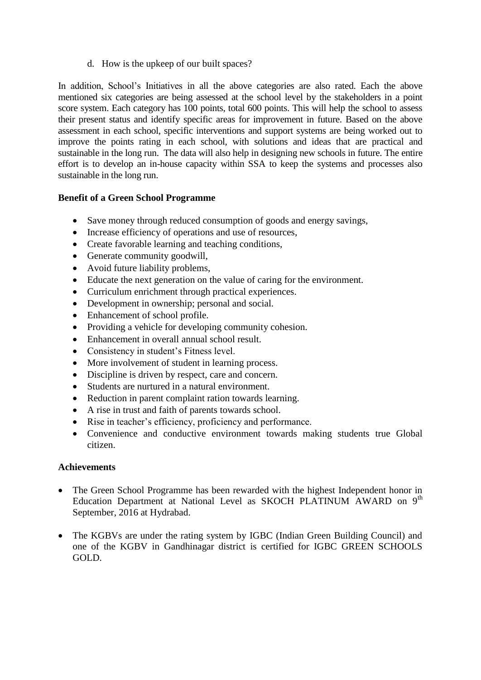d. How is the upkeep of our built spaces?

In addition, School's Initiatives in all the above categories are also rated. Each the above mentioned six categories are being assessed at the school level by the stakeholders in a point score system. Each category has 100 points, total 600 points. This will help the school to assess their present status and identify specific areas for improvement in future. Based on the above assessment in each school, specific interventions and support systems are being worked out to improve the points rating in each school, with solutions and ideas that are practical and sustainable in the long run. The data will also help in designing new schools in future. The entire effort is to develop an in-house capacity within SSA to keep the systems and processes also sustainable in the long run.

# **Benefit of a Green School Programme**

- Save money through reduced consumption of goods and energy savings,
- Increase efficiency of operations and use of resources,
- Create favorable learning and teaching conditions,
- Generate community goodwill,
- Avoid future liability problems,
- Educate the next generation on the value of caring for the environment.
- Curriculum enrichment through practical experiences.
- Development in ownership; personal and social.
- Enhancement of school profile.
- Providing a vehicle for developing community cohesion.
- Enhancement in overall annual school result.
- Consistency in student's Fitness level.
- More involvement of student in learning process.
- Discipline is driven by respect, care and concern.
- Students are nurtured in a natural environment.
- Reduction in parent complaint ration towards learning.
- A rise in trust and faith of parents towards school.
- Rise in teacher's efficiency, proficiency and performance.
- Convenience and conductive environment towards making students true Global citizen.

### **Achievements**

- The Green School Programme has been rewarded with the highest Independent honor in Education Department at National Level as SKOCH PLATINUM AWARD on 9<sup>th</sup> September, 2016 at Hydrabad.
- The KGBVs are under the rating system by IGBC (Indian Green Building Council) and one of the KGBV in Gandhinagar district is certified for IGBC GREEN SCHOOLS GOLD.